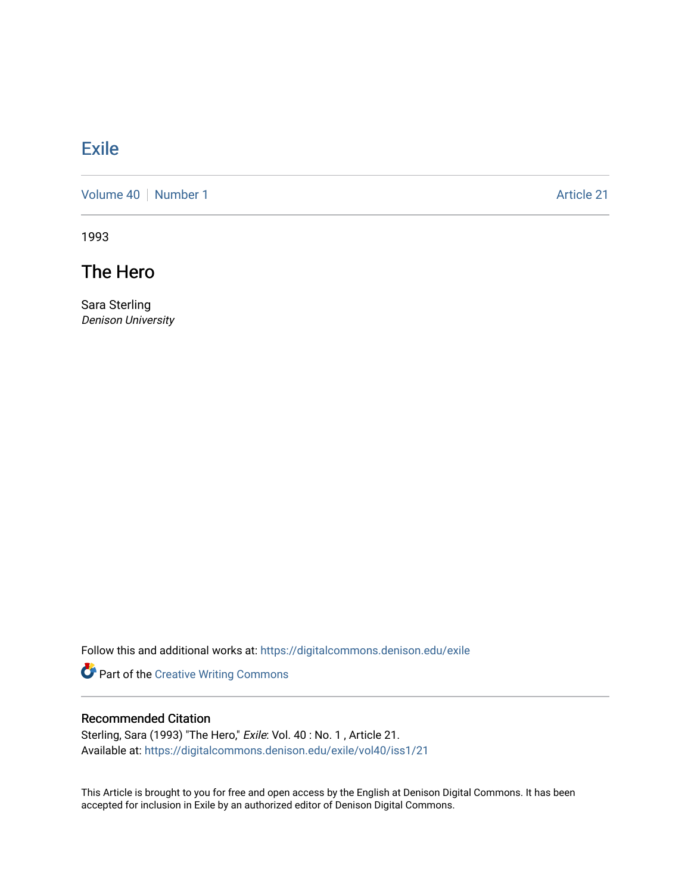## [Exile](https://digitalcommons.denison.edu/exile)

[Volume 40](https://digitalcommons.denison.edu/exile/vol40) | [Number 1](https://digitalcommons.denison.edu/exile/vol40/iss1) Article 21

1993

The Hero

Sara Sterling Denison University

Follow this and additional works at: [https://digitalcommons.denison.edu/exile](https://digitalcommons.denison.edu/exile?utm_source=digitalcommons.denison.edu%2Fexile%2Fvol40%2Fiss1%2F21&utm_medium=PDF&utm_campaign=PDFCoverPages) 

Part of the [Creative Writing Commons](http://network.bepress.com/hgg/discipline/574?utm_source=digitalcommons.denison.edu%2Fexile%2Fvol40%2Fiss1%2F21&utm_medium=PDF&utm_campaign=PDFCoverPages) 

## Recommended Citation

Sterling, Sara (1993) "The Hero," Exile: Vol. 40: No. 1, Article 21. Available at: [https://digitalcommons.denison.edu/exile/vol40/iss1/21](https://digitalcommons.denison.edu/exile/vol40/iss1/21?utm_source=digitalcommons.denison.edu%2Fexile%2Fvol40%2Fiss1%2F21&utm_medium=PDF&utm_campaign=PDFCoverPages)

This Article is brought to you for free and open access by the English at Denison Digital Commons. It has been accepted for inclusion in Exile by an authorized editor of Denison Digital Commons.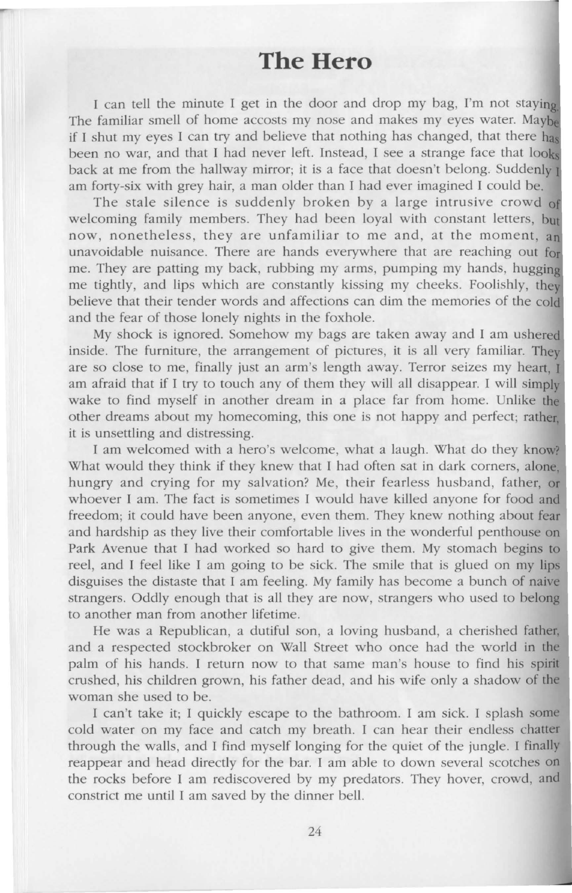## **The Hero**

I can tell the minute I get in the door and drop my bag, I'm not staying The familiar smell of home accosts my nose and makes my eyes water. Maybe if I shut my eyes I can try and believe that nothing has changed, that there has been no war, and that I had never left. Instead, I see a strange face that looks back at me from the hallway mirror; it is a face that doesn't belong. Suddenly  $\mathbf I$ am forty-six with grey hair, a man older than I had ever imagined I could be.

The stale silence is suddenly broken by a large intrusive crowd of welcoming family members. They had been loyal with constant letters, **but**  now, nonetheless, they are unfamiliar to me and, at the moment, an unavoidable nuisance. There are hands everywhere that are reaching out fo me. They are patting my back, rubbing my arms, pumping my hands, hugging me tightly, and lips which are constantly kissing my cheeks. Foolishly, they believe that their tender words and affections can dim the memories of the cold and the fear of those lonely nights in the foxhole.

My shock is ignored. Somehow my bags are taken away and I am ushered inside. The furniture, the arrangement of pictures, it is all very familiar. They are so close to me, finally just an arm's length away. Terror seizes my heart, I am afraid that if I try to touch any of them they will all disappear. I will simply wake to find myself in another dream in a place far from home. Unlike the other dreams about my homecoming, this one is not happy and perfect; rather, it is unsettling and distressing.

I am welcomed with a hero's welcome, what a laugh. What do they know? What would they think if they knew that I had often sat in dark corners, alone, hungry and crying for my salvation? Me, their fearless husband, father, or whoever I am. The fact is sometimes I would have killed anyone for food and freedom; it could have been anyone, even them. They knew nothing about fear and hardship as they live their comfortable lives in the wonderful penthouse on Park Avenue that I had worked so hard to give them. My stomach begins to reel, and I feel like I am going to be sick. The smile that is glued on my lips disguises the distaste that I am feeling. My family has become a bunch of naive strangers. Oddly enough that is all they are now, strangers who used to belong to another man from another lifetime.

He was a Republican, a dutiful son, a loving husband, a cherished father, and a respected stockbroker on Wall Street who once had the world in the palm of his hands. I return now to that same man's house to find his pirit crushed, his children grown, his father dead, and his wife only a shadow of the woman she used to be.

I can't take it; I quickly escape to the bathroom. I am sick. I splash some cold water on my face and catch my breath. I can hear their endless chatter through the walls, and I find myself longing for the quiet of the jungle. I finally reappear and head directly for the bar. I am able to down several scotches on the rocks before I am rediscovered by my predators. They hover, crowd, and constrict me until I am saved by the dinner bell.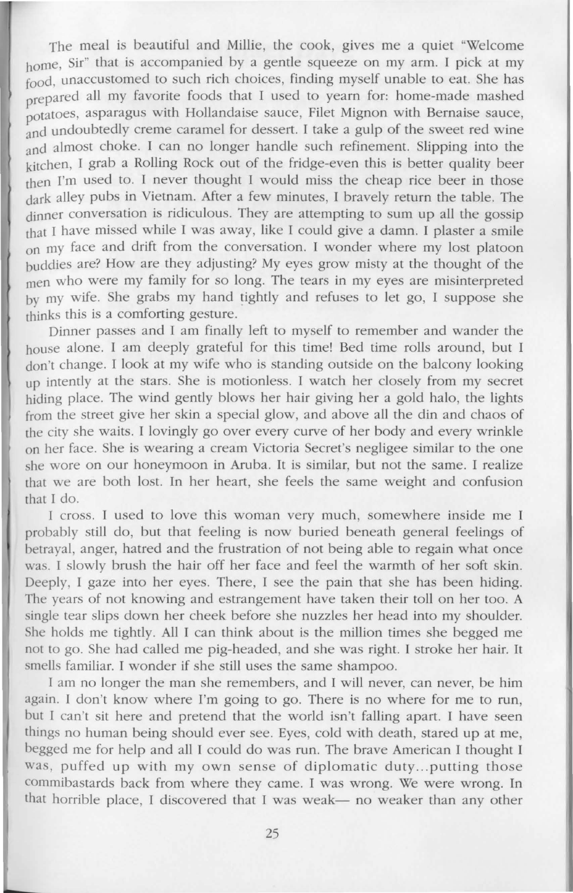The meal is beautiful and Millie, the cook, gives me a quiet "Welcome home, Sir" that is accompanied by a gentle squeeze on my arm. I pick at my food, unaccustomed to such rich choices, finding myself unable to eat. She has prepared all my favorite foods that I used to yearn for: home-made mashed potatoes, asparagus with Hollandaise sauce, Filet Mignon with Bernaise sauce, and undoubtedly creme caramel for dessert. I take a gulp of the sweet red wine and almost choke. I can no longer handle such refinement. Slipping into the kitchen, I grab a Rolling Rock out of the fridge-even this is better quality beer rhen I'm used to. I never thought I would miss the cheap rice beer in those dark alley pubs in Vietnam. After a few minutes, I bravely return the table. The dinner conversation is ridiculous. They are attempting to sum up all the gossip chat I have missed while I was away, like I could give a damn. I plaster a smile on my face and drift from the conversation. I wonder where my lost platoon buddies are? How are they adjusting? My eyes grow misty at the thought of the men who were my family for so long. The tears in my eyes are misinterpreted by my wife. She grabs my hand tightly and refuses to Jet go, I suppose she thinks this is a comforting gesture.

Dinner passes and I am finally left to myself to remember and wander the house alone. I am deeply grateful for this time! Bed time rolls around, but I don't change. I look at my wife who is standing outside on the balcony looking up intently at the stars. She is motionless. I watch her closely from my secret hiding place. The wind gently blows her hair giving her a gold halo, the lights from the street give her skin a special glow, and above all the din and chaos of the city she waits. I lovingly go over every curve of her body and every wrinkle on her face. She is wearing a cream Victoria Secret's negligee similar to the one she wore on our honeymoon in Aruba. It is similar, but not the same. I realize that we are both lost. In her heart, she feels the same weight and confusion that I do.

I cross. I used to love this woman very much, somewhere inside me I probably still do, but that feeling is now buried beneath general feelings of betrayal, anger, hatred and the frustration of not being able to regain what once was. I slowly brush the hair off her face and feel the warmth of her soft skin. Deeply, I gaze into her eyes. There, I see the pain that she has been hiding. The years of not knowing and estrangement have taken their toll on her too. A single tear slips down her cheek before she nuzzles her head into my shoulder. She holds me tightly. All I can think about is the million times she begged me not to go. She had called me pig-headed, and she was right. I stroke her hair. It smells familiar. I wonder if she still uses the same shampoo.

I am no longer the man she remembers, and I will never, can never, be him again. I don't know where I'm going to go. There is no where for me to run, but I can't sit here and pretend that the world isn't falling apart. I have seen things no human being should ever see. Eyes, cold with death, stared up at me, begged me for help and all I could do was run. The brave American I thought I was, puffed up with my own sense of diplomatic duty...putting those commibastards back from where they came. I was wrong. We were wrong. In that horrible place, I discovered that I was weak- no weaker than any other